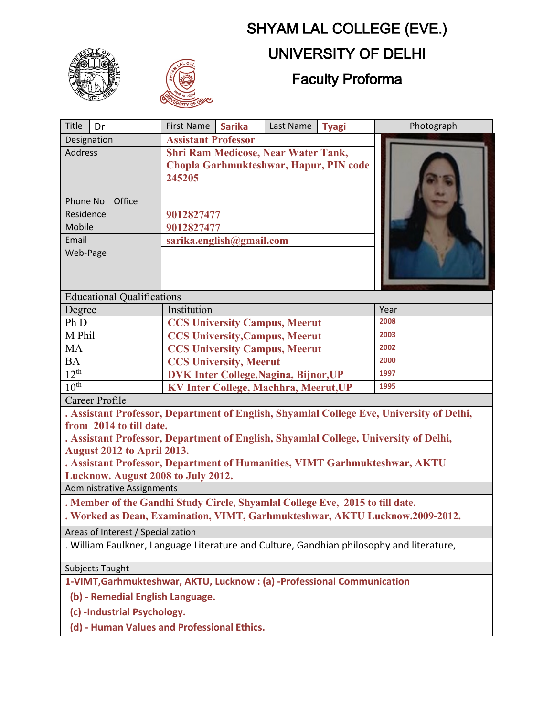

## SHYAM LAL COLLEGE (EVE.) UNIVERSITY OF DELHI Faculty Proforma

| <b>Title</b><br>Dr                                                                                                                                                                                                                                                                                                      | <b>First Name</b><br><b>Sarika</b>                                                             | Last Name | <b>Tyagi</b> | Photograph |
|-------------------------------------------------------------------------------------------------------------------------------------------------------------------------------------------------------------------------------------------------------------------------------------------------------------------------|------------------------------------------------------------------------------------------------|-----------|--------------|------------|
| Designation                                                                                                                                                                                                                                                                                                             | <b>Assistant Professor</b>                                                                     |           |              |            |
| <b>Address</b>                                                                                                                                                                                                                                                                                                          | <b>Shri Ram Medicose, Near Water Tank,</b><br>Chopla Garhmukteshwar, Hapur, PIN code<br>245205 |           |              |            |
| Phone No<br>Office                                                                                                                                                                                                                                                                                                      |                                                                                                |           |              |            |
| Residence                                                                                                                                                                                                                                                                                                               | 9012827477                                                                                     |           |              |            |
| Mobile                                                                                                                                                                                                                                                                                                                  | 9012827477                                                                                     |           |              |            |
| Email<br>Web-Page                                                                                                                                                                                                                                                                                                       | sarika.english@gmail.com                                                                       |           |              |            |
| <b>Educational Qualifications</b>                                                                                                                                                                                                                                                                                       |                                                                                                |           |              |            |
| Degree                                                                                                                                                                                                                                                                                                                  | Institution                                                                                    |           | Year         |            |
| Ph D                                                                                                                                                                                                                                                                                                                    | <b>CCS University Campus, Meerut</b>                                                           |           | 2008         |            |
| M Phil                                                                                                                                                                                                                                                                                                                  | <b>CCS University, Campus, Meerut</b>                                                          |           | 2003         |            |
| <b>MA</b>                                                                                                                                                                                                                                                                                                               | <b>CCS University Campus, Meerut</b>                                                           |           | 2002         |            |
| <b>BA</b>                                                                                                                                                                                                                                                                                                               | <b>CCS University, Meerut</b>                                                                  |           | 2000         |            |
| 12 <sup>th</sup>                                                                                                                                                                                                                                                                                                        | <b>DVK Inter College, Nagina, Bijnor, UP</b>                                                   |           | 1997         |            |
| 10 <sup>th</sup>                                                                                                                                                                                                                                                                                                        | <b>KV Inter College, Machhra, Meerut, UP</b>                                                   |           | 1995         |            |
| Career Profile                                                                                                                                                                                                                                                                                                          |                                                                                                |           |              |            |
| . Assistant Professor, Department of English, Shyamlal College Eve, University of Delhi,<br>from 2014 to till date.<br>. Assistant Professor, Department of English, Shyamlal College, University of Delhi,<br>August 2012 to April 2013.<br>. Assistant Professor, Department of Humanities, VIMT Garhmukteshwar, AKTU |                                                                                                |           |              |            |
| Lucknow. August 2008 to July 2012.                                                                                                                                                                                                                                                                                      |                                                                                                |           |              |            |
| <b>Administrative Assignments</b>                                                                                                                                                                                                                                                                                       |                                                                                                |           |              |            |
| . Member of the Gandhi Study Circle, Shyamlal College Eve, 2015 to till date.                                                                                                                                                                                                                                           |                                                                                                |           |              |            |
| Worked as Dean, Examination, VIMT, Garhmukteshwar, AKTU Lucknow.2009-2012.                                                                                                                                                                                                                                              |                                                                                                |           |              |            |
| Areas of Interest / Specialization                                                                                                                                                                                                                                                                                      |                                                                                                |           |              |            |
| . William Faulkner, Language Literature and Culture, Gandhian philosophy and literature,                                                                                                                                                                                                                                |                                                                                                |           |              |            |
| Subjects Taught                                                                                                                                                                                                                                                                                                         |                                                                                                |           |              |            |
| 1-VIMT, Garhmukteshwar, AKTU, Lucknow: (a) -Professional Communication                                                                                                                                                                                                                                                  |                                                                                                |           |              |            |
| (b) - Remedial English Language.                                                                                                                                                                                                                                                                                        |                                                                                                |           |              |            |
| (c) -Industrial Psychology.                                                                                                                                                                                                                                                                                             |                                                                                                |           |              |            |

 **(d) - Human Values and Professional Ethics.**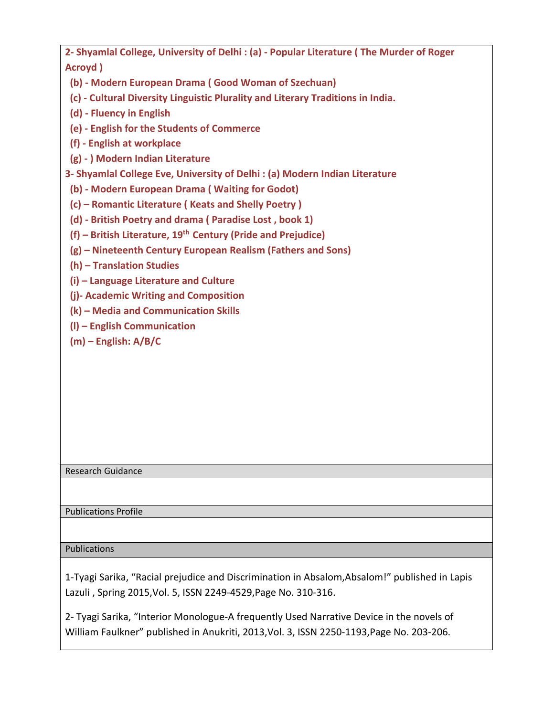**2- Shyamlal College, University of Delhi : (a) - Popular Literature ( The Murder of Roger Acroyd )**

 **(b) - Modern European Drama ( Good Woman of Szechuan)**

 **(c) - Cultural Diversity Linguistic Plurality and Literary Traditions in India.**

 **(d) - Fluency in English**

 **(e) - English for the Students of Commerce**

 **(f) - English at workplace**

 **(g) - ) Modern Indian Literature**

**3- Shyamlal College Eve, University of Delhi : (a) Modern Indian Literature**

 **(b) - Modern European Drama ( Waiting for Godot)**

 **(c) – Romantic Literature ( Keats and Shelly Poetry )**

 **(d) - British Poetry and drama ( Paradise Lost , book 1)**

**(f) – British Literature, 19th Century (Pride and Prejudice)**

 **(g) – Nineteenth Century European Realism (Fathers and Sons)**

 **(h) – Translation Studies**

 **(i) – Language Literature and Culture**

 **(j)- Academic Writing and Composition**

 **(k) – Media and Communication Skills**

 **(l) – English Communication**

 **(m) – English: A/B/C**

## Research Guidance

Publications Profile

Publications

1-Tyagi Sarika, "Racial prejudice and Discrimination in Absalom,Absalom!" published in Lapis Lazuli , Spring 2015,Vol. 5, ISSN 2249-4529,Page No. 310-316.

2- Tyagi Sarika, "Interior Monologue-A frequently Used Narrative Device in the novels of William Faulkner" published in Anukriti, 2013,Vol. 3, ISSN 2250-1193,Page No. 203-206.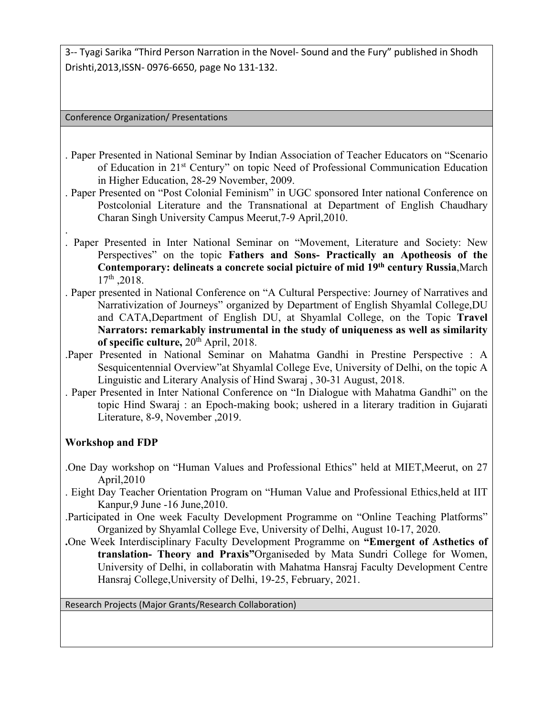3-- Tyagi Sarika "Third Person Narration in the Novel- Sound and the Fury" published in Shodh Drishti,2013,ISSN- 0976-6650, page No 131-132.

Conference Organization/ Presentations

- . Paper Presented in National Seminar by Indian Association of Teacher Educators on "Scenario of Education in 21<sup>st</sup> Century" on topic Need of Professional Communication Education in Higher Education, 28-29 November, 2009.
- . Paper Presented on "Post Colonial Feminism" in UGC sponsored Inter national Conference on Postcolonial Literature and the Transnational at Department of English Chaudhary Charan Singh University Campus Meerut,7-9 April,2010.
- . . Paper Presented in Inter National Seminar on "Movement, Literature and Society: New Perspectives" on the topic **Fathers and Sons- Practically an Apotheosis of the Contemporary: delineats a concrete social pictuire of mid 19th century Russia**,March 17<sup>th</sup>, 2018.
- . Paper presented in National Conference on "A Cultural Perspective: Journey of Narratives and Narrativization of Journeys" organized by Department of English Shyamlal College,DU and CATA,Department of English DU, at Shyamlal College, on the Topic **Travel Narrators: remarkably instrumental in the study of uniqueness as well as similarity of specific culture,** 20th April, 2018.
- .Paper Presented in National Seminar on Mahatma Gandhi in Prestine Perspective : A Sesquicentennial Overview"at Shyamlal College Eve, University of Delhi, on the topic A Linguistic and Literary Analysis of Hind Swaraj , 30-31 August, 2018.
- . Paper Presented in Inter National Conference on "In Dialogue with Mahatma Gandhi" on the topic Hind Swaraj : an Epoch-making book; ushered in a literary tradition in Gujarati Literature, 8-9, November ,2019.

## **Workshop and FDP**

- .One Day workshop on "Human Values and Professional Ethics" held at MIET,Meerut, on 27 April,2010
- . Eight Day Teacher Orientation Program on "Human Value and Professional Ethics,held at IIT Kanpur,9 June -16 June,2010.
- .Participated in One week Faculty Development Programme on "Online Teaching Platforms" Organized by Shyamlal College Eve, University of Delhi, August 10-17, 2020.
- **.**One Week Interdisciplinary Faculty Development Programme on **"Emergent of Asthetics of translation- Theory and Praxis"**Organiseded by Mata Sundri College for Women, University of Delhi, in collaboratin with Mahatma Hansraj Faculty Development Centre Hansraj College,University of Delhi, 19-25, February, 2021.

Research Projects (Major Grants/Research Collaboration)